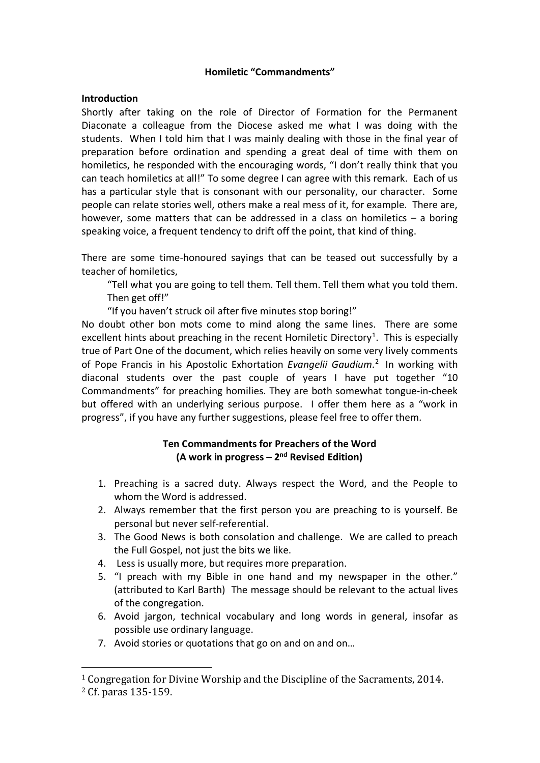### **Homiletic "Commandments"**

### **Introduction**

Shortly after taking on the role of Director of Formation for the Permanent Diaconate a colleague from the Diocese asked me what I was doing with the students. When I told him that I was mainly dealing with those in the final year of preparation before ordination and spending a great deal of time with them on homiletics, he responded with the encouraging words, "I don't really think that you can teach homiletics at all!" To some degree I can agree with this remark. Each of us has a particular style that is consonant with our personality, our character. Some people can relate stories well, others make a real mess of it, for example. There are, however, some matters that can be addressed in a class on homiletics – a boring speaking voice, a frequent tendency to drift off the point, that kind of thing.

There are some time-honoured sayings that can be teased out successfully by a teacher of homiletics,

"Tell what you are going to tell them. Tell them. Tell them what you told them. Then get off!"

"If you haven't struck oil after five minutes stop boring!"

No doubt other bon mots come to mind along the same lines. There are some excellent hints about preaching in the recent Homiletic Directory<sup>[1](#page-0-0)</sup>. This is especially true of Part One of the document, which relies heavily on some very lively comments of Pope Francis in his Apostolic Exhortation *Evangelii Gaudium*. [2](#page-0-1) In working with diaconal students over the past couple of years I have put together "10 Commandments" for preaching homilies. They are both somewhat tongue-in-cheek but offered with an underlying serious purpose. I offer them here as a "work in progress", if you have any further suggestions, please feel free to offer them.

# **Ten Commandments for Preachers of the Word (A work in progress – 2nd Revised Edition)**

- 1. Preaching is a sacred duty. Always respect the Word, and the People to whom the Word is addressed.
- 2. Always remember that the first person you are preaching to is yourself. Be personal but never self-referential.
- 3. The Good News is both consolation and challenge. We are called to preach the Full Gospel, not just the bits we like.
- 4. Less is usually more, but requires more preparation.
- 5. "I preach with my Bible in one hand and my newspaper in the other." (attributed to Karl Barth) The message should be relevant to the actual lives of the congregation.
- 6. Avoid jargon, technical vocabulary and long words in general, insofar as possible use ordinary language.
- 7. Avoid stories or quotations that go on and on and on…

<span id="page-0-0"></span><sup>1</sup> Congregation for Divine Worship and the Discipline of the Sacraments, 2014.

<span id="page-0-1"></span><sup>2</sup> Cf. paras 135-159.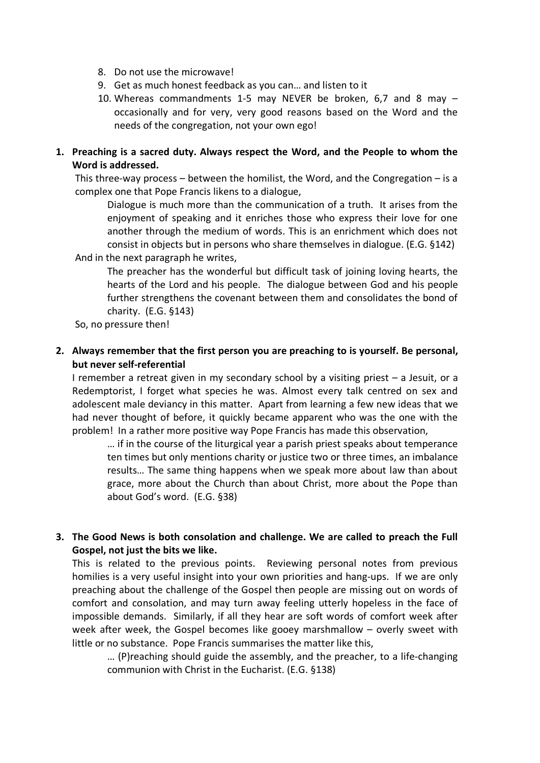- 8. Do not use the microwave!
- 9. Get as much honest feedback as you can… and listen to it
- 10. Whereas commandments 1-5 may NEVER be broken, 6,7 and 8 may occasionally and for very, very good reasons based on the Word and the needs of the congregation, not your own ego!
- **1. Preaching is a sacred duty. Always respect the Word, and the People to whom the Word is addressed.**

This three-way process – between the homilist, the Word, and the Congregation – is a complex one that Pope Francis likens to a dialogue,

Dialogue is much more than the communication of a truth. It arises from the enjoyment of speaking and it enriches those who express their love for one another through the medium of words. This is an enrichment which does not consist in objects but in persons who share themselves in dialogue. (E.G. §142)

And in the next paragraph he writes,

The preacher has the wonderful but difficult task of joining loving hearts, the hearts of the Lord and his people. The dialogue between God and his people further strengthens the covenant between them and consolidates the bond of charity. (E.G. §143)

So, no pressure then!

**2. Always remember that the first person you are preaching to is yourself. Be personal, but never self-referential**

I remember a retreat given in my secondary school by a visiting priest – a Jesuit, or a Redemptorist, I forget what species he was. Almost every talk centred on sex and adolescent male deviancy in this matter. Apart from learning a few new ideas that we had never thought of before, it quickly became apparent who was the one with the problem! In a rather more positive way Pope Francis has made this observation,

… if in the course of the liturgical year a parish priest speaks about temperance ten times but only mentions charity or justice two or three times, an imbalance results… The same thing happens when we speak more about law than about grace, more about the Church than about Christ, more about the Pope than about God's word. (E.G. §38)

**3. The Good News is both consolation and challenge. We are called to preach the Full Gospel, not just the bits we like.**

This is related to the previous points. Reviewing personal notes from previous homilies is a very useful insight into your own priorities and hang-ups. If we are only preaching about the challenge of the Gospel then people are missing out on words of comfort and consolation, and may turn away feeling utterly hopeless in the face of impossible demands. Similarly, if all they hear are soft words of comfort week after week after week, the Gospel becomes like gooey marshmallow – overly sweet with little or no substance. Pope Francis summarises the matter like this,

… (P)reaching should guide the assembly, and the preacher, to a life-changing communion with Christ in the Eucharist. (E.G. §138)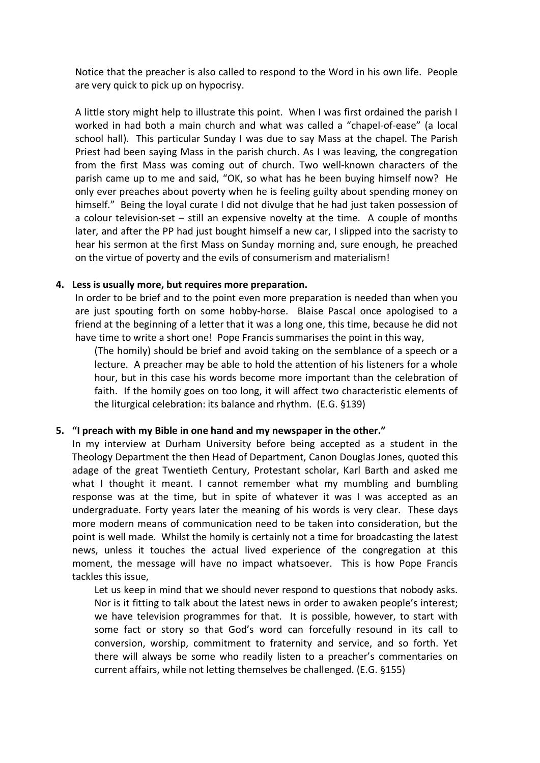Notice that the preacher is also called to respond to the Word in his own life. People are very quick to pick up on hypocrisy.

A little story might help to illustrate this point. When I was first ordained the parish I worked in had both a main church and what was called a "chapel-of-ease" (a local school hall). This particular Sunday I was due to say Mass at the chapel. The Parish Priest had been saying Mass in the parish church. As I was leaving, the congregation from the first Mass was coming out of church. Two well-known characters of the parish came up to me and said, "OK, so what has he been buying himself now? He only ever preaches about poverty when he is feeling guilty about spending money on himself." Being the loyal curate I did not divulge that he had just taken possession of a colour television-set – still an expensive novelty at the time. A couple of months later, and after the PP had just bought himself a new car, I slipped into the sacristy to hear his sermon at the first Mass on Sunday morning and, sure enough, he preached on the virtue of poverty and the evils of consumerism and materialism!

#### **4. Less is usually more, but requires more preparation.**

In order to be brief and to the point even more preparation is needed than when you are just spouting forth on some hobby-horse. Blaise Pascal once apologised to a friend at the beginning of a letter that it was a long one, this time, because he did not have time to write a short one! Pope Francis summarises the point in this way,

(The homily) should be brief and avoid taking on the semblance of a speech or a lecture. A preacher may be able to hold the attention of his listeners for a whole hour, but in this case his words become more important than the celebration of faith. If the homily goes on too long, it will affect two characteristic elements of the liturgical celebration: its balance and rhythm. (E.G. §139)

### **5. "I preach with my Bible in one hand and my newspaper in the other."**

In my interview at Durham University before being accepted as a student in the Theology Department the then Head of Department, Canon Douglas Jones, quoted this adage of the great Twentieth Century, Protestant scholar, Karl Barth and asked me what I thought it meant. I cannot remember what my mumbling and bumbling response was at the time, but in spite of whatever it was I was accepted as an undergraduate. Forty years later the meaning of his words is very clear. These days more modern means of communication need to be taken into consideration, but the point is well made. Whilst the homily is certainly not a time for broadcasting the latest news, unless it touches the actual lived experience of the congregation at this moment, the message will have no impact whatsoever. This is how Pope Francis tackles this issue,

Let us keep in mind that we should never respond to questions that nobody asks. Nor is it fitting to talk about the latest news in order to awaken people's interest; we have television programmes for that. It is possible, however, to start with some fact or story so that God's word can forcefully resound in its call to conversion, worship, commitment to fraternity and service, and so forth. Yet there will always be some who readily listen to a preacher's commentaries on current affairs, while not letting themselves be challenged. (E.G. §155)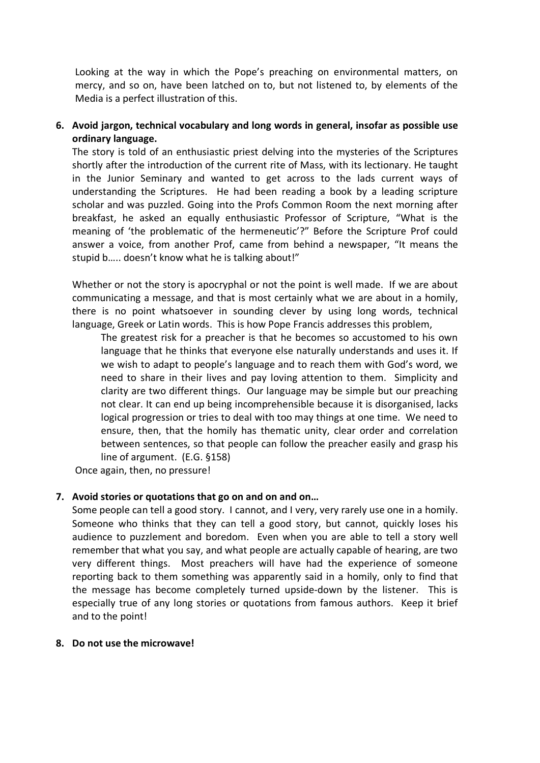Looking at the way in which the Pope's preaching on environmental matters, on mercy, and so on, have been latched on to, but not listened to, by elements of the Media is a perfect illustration of this.

## **6. Avoid jargon, technical vocabulary and long words in general, insofar as possible use ordinary language.**

The story is told of an enthusiastic priest delving into the mysteries of the Scriptures shortly after the introduction of the current rite of Mass, with its lectionary. He taught in the Junior Seminary and wanted to get across to the lads current ways of understanding the Scriptures. He had been reading a book by a leading scripture scholar and was puzzled. Going into the Profs Common Room the next morning after breakfast, he asked an equally enthusiastic Professor of Scripture, "What is the meaning of 'the problematic of the hermeneutic'?" Before the Scripture Prof could answer a voice, from another Prof, came from behind a newspaper, "It means the stupid b….. doesn't know what he is talking about!"

Whether or not the story is apocryphal or not the point is well made. If we are about communicating a message, and that is most certainly what we are about in a homily, there is no point whatsoever in sounding clever by using long words, technical language, Greek or Latin words. This is how Pope Francis addresses this problem,

The greatest risk for a preacher is that he becomes so accustomed to his own language that he thinks that everyone else naturally understands and uses it. If we wish to adapt to people's language and to reach them with God's word, we need to share in their lives and pay loving attention to them. Simplicity and clarity are two different things. Our language may be simple but our preaching not clear. It can end up being incomprehensible because it is disorganised, lacks logical progression or tries to deal with too may things at one time. We need to ensure, then, that the homily has thematic unity, clear order and correlation between sentences, so that people can follow the preacher easily and grasp his line of argument. (E.G. §158)

Once again, then, no pressure!

### **7. Avoid stories or quotations that go on and on and on…**

Some people can tell a good story. I cannot, and I very, very rarely use one in a homily. Someone who thinks that they can tell a good story, but cannot, quickly loses his audience to puzzlement and boredom. Even when you are able to tell a story well remember that what you say, and what people are actually capable of hearing, are two very different things. Most preachers will have had the experience of someone reporting back to them something was apparently said in a homily, only to find that the message has become completely turned upside-down by the listener. This is especially true of any long stories or quotations from famous authors. Keep it brief and to the point!

### **8. Do not use the microwave!**